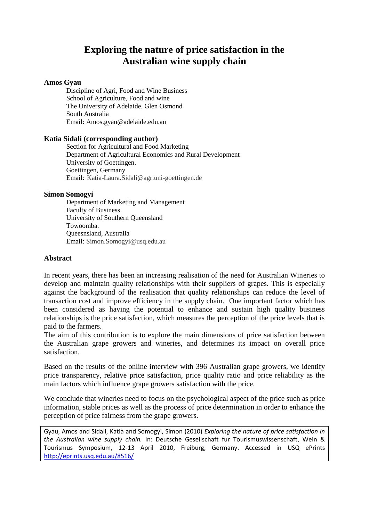# **Exploring the nature of price satisfaction in the Australian wine supply chain**

#### **Amos Gyau**

Discipline of Agri, Food and Wine Business School of Agriculture, Food and wine The University of Adelaide. Glen Osmond South Australia Email: Amos.gyau@adelaide.edu.au

#### **Katia Sidali (corresponding author)**

Section for Agricultural and Food Marketing Department of Agricultural Economics and Rural Development University of Goettingen. Goettingen, Germany Email: Katia-Laura.Sidali@agr.uni-goettingen.de

#### **Simon Somogyi**

Department of Marketing and Management Faculty of Business University of Southern Queensland Towoomba. Queesnsland, Australia Email: Simon.Somogyi@usq.edu.au

#### **Abstract**

In recent years, there has been an increasing realisation of the need for Australian Wineries to develop and maintain quality relationships with their suppliers of grapes. This is especially against the background of the realisation that quality relationships can reduce the level of transaction cost and improve efficiency in the supply chain. One important factor which has been considered as having the potential to enhance and sustain high quality business relationships is the price satisfaction, which measures the perception of the price levels that is paid to the farmers.

The aim of this contribution is to explore the main dimensions of price satisfaction between the Australian grape growers and wineries, and determines its impact on overall price satisfaction.

Based on the results of the online interview with 396 Australian grape growers, we identify price transparency, relative price satisfaction, price quality ratio and price reliability as the main factors which influence grape growers satisfaction with the price.

We conclude that wineries need to focus on the psychological aspect of the price such as price information, stable prices as well as the process of price determination in order to enhance the perception of price fairness from the grape growers.

Gyau, Amos and Sidali, Katia and Somogyi, Simon (2010) *Exploring the nature of price satisfaction in the Australian wine supply chain.* In: Deutsche Gesellschaft fur Tourismuswissenschaft, Wein & Tourismus Symposium, 12-13 April 2010, Freiburg, Germany. Accessed in USQ ePrints <http://eprints.usq.edu.au/8516/>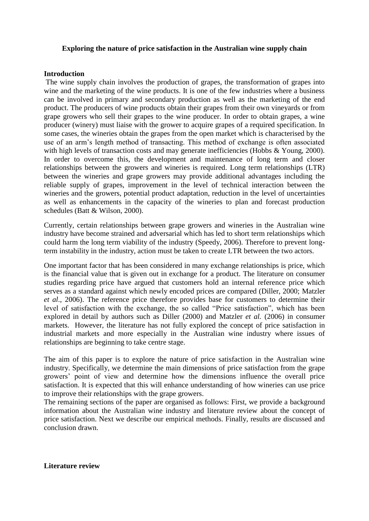### **Exploring the nature of price satisfaction in the Australian wine supply chain**

#### **Introduction**

The wine supply chain involves the production of grapes, the transformation of grapes into wine and the marketing of the wine products. It is one of the few industries where a business can be involved in primary and secondary production as well as the marketing of the end product. The producers of wine products obtain their grapes from their own vineyards or from grape growers who sell their grapes to the wine producer. In order to obtain grapes, a wine producer (winery) must liaise with the grower to acquire grapes of a required specification. In some cases, the wineries obtain the grapes from the open market which is characterised by the use of an arm's length method of transacting. This method of exchange is often associated with high levels of transaction costs and may generate inefficiencies (Hobbs & Young, 2000). In order to overcome this, the development and maintenance of long term and closer relationships between the growers and wineries is required. Long term relationships (LTR) between the wineries and grape growers may provide additional advantages including the reliable supply of grapes, improvement in the level of technical interaction between the wineries and the growers, potential product adaptation, reduction in the level of uncertainties as well as enhancements in the capacity of the wineries to plan and forecast production schedules (Batt & Wilson, 2000).

Currently, certain relationships between grape growers and wineries in the Australian wine industry have become strained and adversarial which has led to short term relationships which could harm the long term viability of the industry (Speedy, 2006). Therefore to prevent longterm instability in the industry, action must be taken to create LTR between the two actors.

One important factor that has been considered in many exchange relationships is price, which is the financial value that is given out in exchange for a product. The literature on consumer studies regarding price have argued that customers hold an internal reference price which serves as a standard against which newly encoded prices are compared (Diller, 2000; Matzler *et al*., 2006). The reference price therefore provides base for customers to determine their level of satisfaction with the exchange, the so called "Price satisfaction", which has been explored in detail by authors such as Diller (2000) and Matzler *et al.* (2006) in consumer markets. However, the literature has not fully explored the concept of price satisfaction in industrial markets and more especially in the Australian wine industry where issues of relationships are beginning to take centre stage.

The aim of this paper is to explore the nature of price satisfaction in the Australian wine industry. Specifically, we determine the main dimensions of price satisfaction from the grape growers' point of view and determine how the dimensions influence the overall price satisfaction. It is expected that this will enhance understanding of how wineries can use price to improve their relationships with the grape growers.

The remaining sections of the paper are organised as follows: First, we provide a background information about the Australian wine industry and literature review about the concept of price satisfaction. Next we describe our empirical methods. Finally, results are discussed and conclusion drawn.

**Literature review**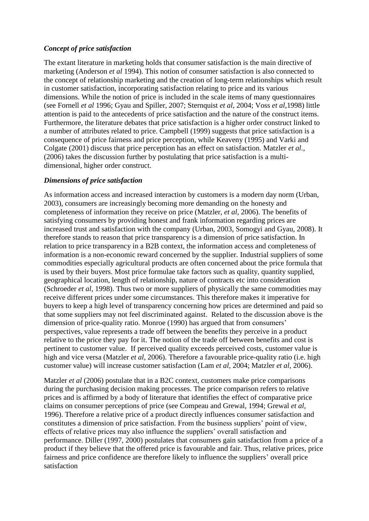## *Concept of price satisfaction*

The extant literature in marketing holds that consumer satisfaction is the main directive of marketing (Anderson *et al* 1994). This notion of consumer satisfaction is also connected to the concept of relationship marketing and the creation of long-term relationships which result in customer satisfaction, incorporating satisfaction relating to price and its various dimensions. While the notion of price is included in the scale items of many questionnaires (see Fornell *et al* 1996; Gyau and Spiller, 2007; Sternquist *et al*, 2004; Voss *et al*,1998) little attention is paid to the antecedents of price satisfaction and the nature of the construct items. Furthermore, the literature debates that price satisfaction is a higher order construct linked to a number of attributes related to price. Campbell (1999) suggests that price satisfaction is a consequence of price fairness and price perception, while Keaveny (1995) and Varki and Colgate (2001) discuss that price perception has an effect on satisfaction. Matzler *et al.*, (2006) takes the discussion further by postulating that price satisfaction is a multidimensional, higher order construct.

## *Dimensions of price satisfaction*

As information access and increased interaction by customers is a modern day norm (Urban, 2003), consumers are increasingly becoming more demanding on the honesty and completeness of information they receive on price (Matzler, *et al*, 2006). The benefits of satisfying consumers by providing honest and frank information regarding prices are increased trust and satisfaction with the company (Urban, 2003, Somogyi and Gyau, 2008). It therefore stands to reason that price transparency is a dimension of price satisfaction. In relation to price transparency in a B2B context, the information access and completeness of information is a non-economic reward concerned by the supplier. Industrial suppliers of some commodities especially agricultural products are often concerned about the price formula that is used by their buyers. Most price formulae take factors such as quality, quantity supplied, geographical location, length of relationship, nature of contracts etc into consideration (Schroeder *et al*, 1998). Thus two or more suppliers of physically the same commodities may receive different prices under some circumstances. This therefore makes it imperative for buyers to keep a high level of transparency concerning how prices are determined and paid so that some suppliers may not feel discriminated against. Related to the discussion above is the dimension of price-quality ratio. Monroe (1990) has argued that from consumers' perspectives, value represents a trade off between the benefits they perceive in a product relative to the price they pay for it. The notion of the trade off between benefits and cost is pertinent to customer value. If perceived quality exceeds perceived costs, customer value is high and vice versa (Matzler *et al*, 2006). Therefore a favourable price-quality ratio (i.e. high customer value) will increase customer satisfaction (Lam *et al,* 2004; Matzler *et al*, 2006).

Matzler *et al* (2006) postulate that in a B2C context, customers make price comparisons during the purchasing decision making processes. The price comparison refers to relative prices and is affirmed by a body of literature that identifies the effect of comparative price claims on consumer perceptions of price (see Compeau and Grewal, 1994; Grewal *et al*, 1996). Therefore a relative price of a product directly influences consumer satisfaction and constitutes a dimension of price satisfaction. From the business suppliers' point of view, effects of relative prices may also influence the suppliers' overall satisfaction and performance. Diller (1997, 2000) postulates that consumers gain satisfaction from a price of a product if they believe that the offered price is favourable and fair. Thus, relative prices, price fairness and price confidence are therefore likely to influence the suppliers' overall price satisfaction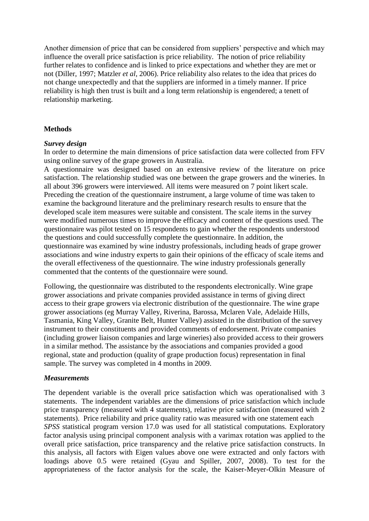Another dimension of price that can be considered from suppliers' perspective and which may influence the overall price satisfaction is price reliability. The notion of price reliability further relates to confidence and is linked to price expectations and whether they are met or not (Diller, 1997; Matzler *et al*, 2006). Price reliability also relates to the idea that prices do not change unexpectedly and that the suppliers are informed in a timely manner. If price reliability is high then trust is built and a long term relationship is engendered; a tenett of relationship marketing.

## **Methods**

### *Survey design*

In order to determine the main dimensions of price satisfaction data were collected from FFV using online survey of the grape growers in Australia.

A questionnaire was designed based on an extensive review of the literature on price satisfaction. The relationship studied was one between the grape growers and the wineries. In all about 396 growers were interviewed. All items were measured on 7 point likert scale. Preceding the creation of the questionnaire instrument, a large volume of time was taken to examine the background literature and the preliminary research results to ensure that the developed scale item measures were suitable and consistent. The scale items in the survey were modified numerous times to improve the efficacy and content of the questions used. The questionnaire was pilot tested on 15 respondents to gain whether the respondents understood the questions and could successfully complete the questionnaire. In addition, the questionnaire was examined by wine industry professionals, including heads of grape grower associations and wine industry experts to gain their opinions of the efficacy of scale items and the overall effectiveness of the questionnaire. The wine industry professionals generally commented that the contents of the questionnaire were sound.

Following, the questionnaire was distributed to the respondents electronically. Wine grape grower associations and private companies provided assistance in terms of giving direct access to their grape growers via electronic distribution of the questionnaire. The wine grape grower associations (eg Murray Valley, Riverina, Barossa, Mclaren Vale, Adelaide Hills, Tasmania, King Valley, Granite Belt, Hunter Valley) assisted in the distribution of the survey instrument to their constituents and provided comments of endorsement. Private companies (including grower liaison companies and large wineries) also provided access to their growers in a similar method. The assistance by the associations and companies provided a good regional, state and production (quality of grape production focus) representation in final sample. The survey was completed in 4 months in 2009.

### *Measurements*

The dependent variable is the overall price satisfaction which was operationalised with 3 statements. The independent variables are the dimensions of price satisfaction which include price transparency (measured with 4 statements), relative price satisfaction (measured with 2 statements). Price reliability and price quality ratio was measured with one statement each *SPSS* statistical program version 17.0 was used for all statistical computations. Exploratory factor analysis using principal component analysis with a varimax rotation was applied to the overall price satisfaction, price transparency and the relative price satisfaction constructs. In this analysis, all factors with Eigen values above one were extracted and only factors with loadings above 0.5 were retained (Gyau and Spiller, 2007, 2008). To test for the appropriateness of the factor analysis for the scale, the Kaiser-Meyer-Olkin Measure of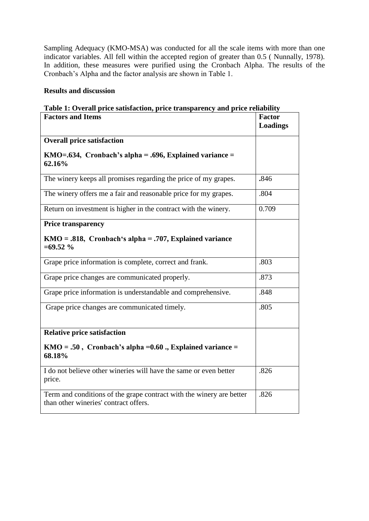Sampling Adequacy (KMO-MSA) was conducted for all the scale items with more than one indicator variables. All fell within the accepted region of greater than 0.5 ( Nunnally, 1978). In addition, these measures were purified using the Cronbach Alpha. The results of the Cronbach's Alpha and the factor analysis are shown in Table 1.

### **Results and discussion**

## **Table 1: Overall price satisfaction, price transparency and price reliability**

| <b>Factors and Items</b>                                                                                      | <b>Factor</b>   |
|---------------------------------------------------------------------------------------------------------------|-----------------|
|                                                                                                               | <b>Loadings</b> |
| <b>Overall price satisfaction</b>                                                                             |                 |
| KMO=.634, Cronbach's alpha = .696, Explained variance =<br>62.16%                                             |                 |
| The winery keeps all promises regarding the price of my grapes.                                               | .846            |
| The winery offers me a fair and reasonable price for my grapes.                                               | .804            |
| Return on investment is higher in the contract with the winery.                                               | 0.709           |
| <b>Price transparency</b>                                                                                     |                 |
| $KMO = .818$ , Cronbach's alpha = .707, Explained variance<br>$=69.52%$                                       |                 |
| Grape price information is complete, correct and frank.                                                       | .803            |
| Grape price changes are communicated properly.                                                                | .873            |
| Grape price information is understandable and comprehensive.                                                  | .848            |
| Grape price changes are communicated timely.                                                                  | .805            |
| <b>Relative price satisfaction</b>                                                                            |                 |
| $KMO = .50$ , Cronbach's alpha = 0.60., Explained variance =<br>68.18%                                        |                 |
| I do not believe other wineries will have the same or even better<br>price.                                   | .826            |
| Term and conditions of the grape contract with the winery are better<br>than other wineries' contract offers. | .826            |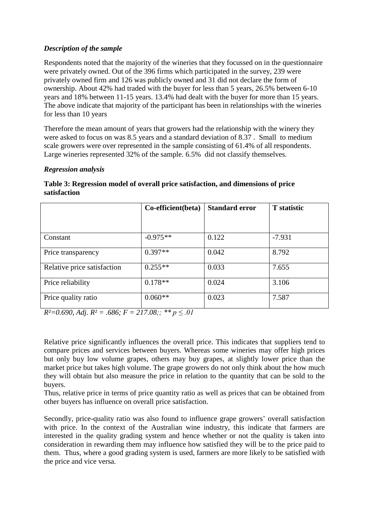## *Description of the sample*

Respondents noted that the majority of the wineries that they focussed on in the questionnaire were privately owned. Out of the 396 firms which participated in the survey, 239 were privately owned firm and 126 was publicly owned and 31 did not declare the form of ownership. About 42% had traded with the buyer for less than 5 years, 26.5% between 6-10 years and 18% between 11-15 years. 13.4% had dealt with the buyer for more than 15 years. The above indicate that majority of the participant has been in relationships with the wineries for less than 10 years

Therefore the mean amount of years that growers had the relationship with the winery they were asked to focus on was 8.5 years and a standard deviation of 8.37 . Small to medium scale growers were over represented in the sample consisting of 61.4% of all respondents. Large wineries represented 32% of the sample. 6.5% did not classify themselves.

## *Regression analysis*

|                             | Co-efficient(beta) | <b>Standard error</b> | <b>T</b> statistic |
|-----------------------------|--------------------|-----------------------|--------------------|
| Constant                    | $-0.975**$         | 0.122                 | $-7.931$           |
| Price transparency          | $0.397**$          | 0.042                 | 8.792              |
| Relative price satisfaction | $0.255**$          | 0.033                 | 7.655              |
| Price reliability           | $0.178**$          | 0.024                 | 3.106              |
| Price quality ratio         | $0.060**$          | 0.023                 | 7.587              |

## **Table 3: Regression model of overall price satisfaction, and dimensions of price satisfaction**

*R²=0.690, Adj. R² = .686; F = 217.08;; \*\* p ≤ .01*

Relative price significantly influences the overall price. This indicates that suppliers tend to compare prices and services between buyers. Whereas some wineries may offer high prices but only buy low volume grapes, others may buy grapes, at slightly lower price than the market price but takes high volume. The grape growers do not only think about the how much they will obtain but also measure the price in relation to the quantity that can be sold to the buyers.

Thus, relative price in terms of price quantity ratio as well as prices that can be obtained from other buyers has influence on overall price satisfaction.

Secondly, price-quality ratio was also found to influence grape growers' overall satisfaction with price. In the context of the Australian wine industry, this indicate that farmers are interested in the quality grading system and hence whether or not the quality is taken into consideration in rewarding them may influence how satisfied they will be to the price paid to them. Thus, where a good grading system is used, farmers are more likely to be satisfied with the price and vice versa.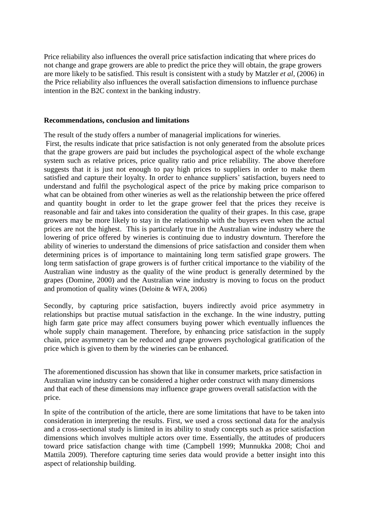Price reliability also influences the overall price satisfaction indicating that where prices do not change and grape growers are able to predict the price they will obtain, the grape growers are more likely to be satisfied. This result is consistent with a study by Matzler *et al,* (2006) in the Price reliability also influences the overall satisfaction dimensions to influence purchase intention in the B2C context in the banking industry.

#### **Recommendations, conclusion and limitations**

The result of the study offers a number of managerial implications for wineries.

First, the results indicate that price satisfaction is not only generated from the absolute prices that the grape growers are paid but includes the psychological aspect of the whole exchange system such as relative prices, price quality ratio and price reliability. The above therefore suggests that it is just not enough to pay high prices to suppliers in order to make them satisfied and capture their loyalty. In order to enhance suppliers' satisfaction, buyers need to understand and fulfil the psychological aspect of the price by making price comparison to what can be obtained from other wineries as well as the relationship between the price offered and quantity bought in order to let the grape grower feel that the prices they receive is reasonable and fair and takes into consideration the quality of their grapes. In this case, grape growers may be more likely to stay in the relationship with the buyers even when the actual prices are not the highest. This is particularly true in the Australian wine industry where the lowering of price offered by wineries is continuing due to industry downturn. Therefore the ability of wineries to understand the dimensions of price satisfaction and consider them when determining prices is of importance to maintaining long term satisfied grape growers. The long term satisfaction of grape growers is of further critical importance to the viability of the Australian wine industry as the quality of the wine product is generally determined by the grapes (Domine, 2000) and the Australian wine industry is moving to focus on the product and promotion of quality wines (Deloitte & WFA, 2006)

Secondly, by capturing price satisfaction, buyers indirectly avoid price asymmetry in relationships but practise mutual satisfaction in the exchange. In the wine industry, putting high farm gate price may affect consumers buying power which eventually influences the whole supply chain management. Therefore, by enhancing price satisfaction in the supply chain, price asymmetry can be reduced and grape growers psychological gratification of the price which is given to them by the wineries can be enhanced.

The aforementioned discussion has shown that like in consumer markets, price satisfaction in Australian wine industry can be considered a higher order construct with many dimensions and that each of these dimensions may influence grape growers overall satisfaction with the price.

In spite of the contribution of the article, there are some limitations that have to be taken into consideration in interpreting the results. First, we used a cross sectional data for the analysis and a cross-sectional study is limited in its ability to study concepts such as price satisfaction dimensions which involves multiple actors over time. Essentially, the attitudes of producers toward price satisfaction change with time (Campbell 1999; Munnukka 2008; Choi and Mattila 2009). Therefore capturing time series data would provide a better insight into this aspect of relationship building.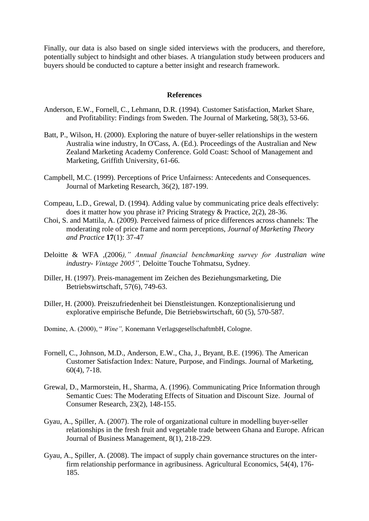Finally, our data is also based on single sided interviews with the producers, and therefore, potentially subject to hindsight and other biases. A triangulation study between producers and buyers should be conducted to capture a better insight and research framework.

#### **References**

- Anderson, E.W., Fornell, C., Lehmann, D.R. (1994). Customer Satisfaction, Market Share, and Profitability: Findings from Sweden. The Journal of Marketing, 58(3), 53-66.
- Batt, P., Wilson, H. (2000). Exploring the nature of buyer-seller relationships in the western Australia wine industry, In O'Cass, A. (Ed.). Proceedings of the Australian and New Zealand Marketing Academy Conference. Gold Coast: School of Management and Marketing, Griffith University, 61-66.
- Campbell, M.C. (1999). Perceptions of Price Unfairness: Antecedents and Consequences. Journal of Marketing Research, 36(2), 187-199.
- Compeau, L.D., Grewal, D. (1994). Adding value by communicating price deals effectively: does it matter how you phrase it? Pricing Strategy & Practice, 2(2), 28-36.
- Choi, S. and Mattila, A. (2009). Perceived fairness of price differences across channels: The moderating role of price frame and norm perceptions, *Journal of Marketing Theory and Practice* **17**(1): 37-47
- Deloitte & WFA ,(2006*)," Annual financial benchmarking survey for Australian wine industry- Vintage 2005",* Deloitte Touche Tohmatsu, Sydney.
- Diller, H. (1997). Preis-management im Zeichen des Beziehungsmarketing, Die Betriebswirtschaft, 57(6), 749-63.
- Diller, H. (2000). Preiszufriedenheit bei Dienstleistungen. Konzeptionalisierung und explorative empirische Befunde, Die Betriebswirtschaft, 60 (5), 570-587.
- Domine, A. (2000), " *Wine",* Konemann VerlagsgesellschaftmbH, Cologne.
- Fornell, C., Johnson, M.D., Anderson, E.W., Cha, J., Bryant, B.E. (1996). The American Customer Satisfaction Index: Nature, Purpose, and Findings. Journal of Marketing, 60(4), 7-18.
- Grewal, D., Marmorstein, H., Sharma, A. (1996). Communicating Price Information through Semantic Cues: The Moderating Effects of Situation and Discount Size. Journal of Consumer Research, 23(2), 148-155.
- Gyau, A., Spiller, A. (2007). The role of organizational culture in modelling buyer-seller relationships in the fresh fruit and vegetable trade between Ghana and Europe. African Journal of Business Management, 8(1), 218-229.
- Gyau, A., Spiller, A. (2008). The impact of supply chain governance structures on the interfirm relationship performance in agribusiness. Agricultural Economics, 54(4), 176- 185.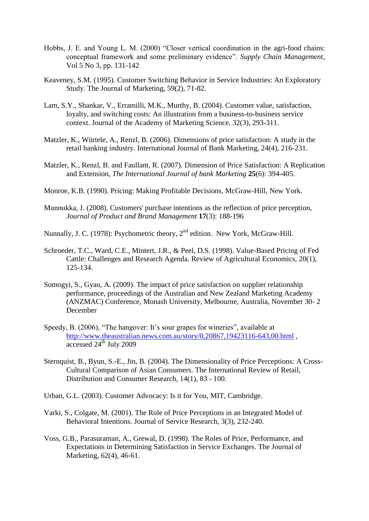- Hobbs, J. E. and Young L. M. (2000) "Closer vertical coordination in the agri-food chains: conceptual framework and some preliminary evidence". *Supply Chain Management*, Vol 5 No 3, pp. 131-142
- Keaveney, S.M. (1995). Customer Switching Behavior in Service Industries: An Exploratory Study. The Journal of Marketing, 59(2), 71-82.
- Lam, S.Y., Shankar, V., Erramilli, M.K., Murthy, B. (2004). Customer value, satisfaction, loyalty, and switching costs: An illustration from a business-to-business service context. Journal of the Academy of Marketing Science, 32(3), 293-311.
- Matzler, K., Würtele, A., Renzl, B. (2006). Dimensions of price satisfaction: A study in the retail banking industry. International Journal of Bank Marketing, 24(4), 216-231.
- Matzler, K., Renzl, B. and Faullant, R. (2007). Dimension of Price Satisfaction: A Replication and Extension, *The International Journal of bank Marketing* **25**(6): 394-405.
- Monroe, K.B. (1990). Pricing: Making Profitable Decisions, McGraw-Hill, New York.
- Munnukka, J. (2008). Customers' purchase intentions as the reflection of price perception, *Journal of Product and Brand Management* **17**(3): 188-196
- Nunnally, J. C. (1978): Psychometric theory,  $2<sup>nd</sup>$  edition. New York, McGraw-Hill.
- Schroeder, T.C., Ward, C.E., Mintert, J.R., & Peel, D.S. (1998). Value-Based Pricing of Fed Cattle: Challenges and Research Agenda. Review of Agricultural Economics, 20(1), 125-134.
- Somogyi, S., Gyau, A. (2009). The impact of price satisfaction on supplier relationship performance, proceedings of the Australian and New Zealand Marketing Academy (ANZMAC) Conference, Monash University, Melbourne, Australia, November 30- 2 December
- Speedy, B. (2006), "The hangover: It's sour grapes for wineries", available at <http://www.theaustralian.news.com.au/story/0,20867,19423116-643,00.html>,  $\frac{1}{\text{accessed } 24^{\text{th}}}$  July 2009
- Sternquist, B., Byun, S.-E., Jin, B. (2004). The Dimensionality of Price Perceptions: A Cross-Cultural Comparison of Asian Consumers. The International Review of Retail, Distribution and Consumer Research, 14(1), 83 - 100.
- Urban, G.L. (2003). Customer Advocacy: Is it for You, MIT, Cambridge.
- Varki, S., Colgate, M. (2001). The Role of Price Perceptions in an Integrated Model of Behavioral Intentions. Journal of Service Research, 3(3), 232-240.
- Voss, G.B., Parasuraman, A., Grewal, D. (1998). The Roles of Price, Performance, and Expectations in Determining Satisfaction in Service Exchanges. The Journal of Marketing, 62(4), 46-61.